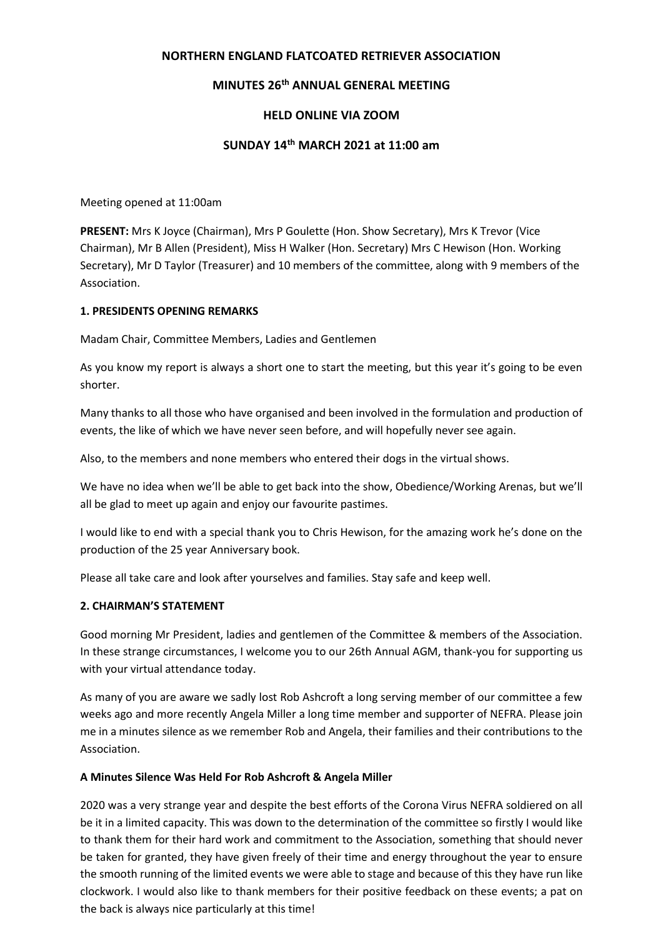## **NORTHERN ENGLAND FLATCOATED RETRIEVER ASSOCIATION**

# **MINUTES 26th ANNUAL GENERAL MEETING**

## **HELD ONLINE VIA ZOOM**

## **SUNDAY 14th MARCH 2021 at 11:00 am**

Meeting opened at 11:00am

**PRESENT:** Mrs K Joyce (Chairman), Mrs P Goulette (Hon. Show Secretary), Mrs K Trevor (Vice Chairman), Mr B Allen (President), Miss H Walker (Hon. Secretary) Mrs C Hewison (Hon. Working Secretary), Mr D Taylor (Treasurer) and 10 members of the committee, along with 9 members of the Association.

### **1. PRESIDENTS OPENING REMARKS**

Madam Chair, Committee Members, Ladies and Gentlemen

As you know my report is always a short one to start the meeting, but this year it's going to be even shorter.

Many thanks to all those who have organised and been involved in the formulation and production of events, the like of which we have never seen before, and will hopefully never see again.

Also, to the members and none members who entered their dogs in the virtual shows.

We have no idea when we'll be able to get back into the show, Obedience/Working Arenas, but we'll all be glad to meet up again and enjoy our favourite pastimes.

I would like to end with a special thank you to Chris Hewison, for the amazing work he's done on the production of the 25 year Anniversary book.

Please all take care and look after yourselves and families. Stay safe and keep well.

### **2. CHAIRMAN'S STATEMENT**

Good morning Mr President, ladies and gentlemen of the Committee & members of the Association. In these strange circumstances, I welcome you to our 26th Annual AGM, thank-you for supporting us with your virtual attendance today.

As many of you are aware we sadly lost Rob Ashcroft a long serving member of our committee a few weeks ago and more recently Angela Miller a long time member and supporter of NEFRA. Please join me in a minutes silence as we remember Rob and Angela, their families and their contributions to the Association.

### **A Minutes Silence Was Held For Rob Ashcroft & Angela Miller**

2020 was a very strange year and despite the best efforts of the Corona Virus NEFRA soldiered on all be it in a limited capacity. This was down to the determination of the committee so firstly I would like to thank them for their hard work and commitment to the Association, something that should never be taken for granted, they have given freely of their time and energy throughout the year to ensure the smooth running of the limited events we were able to stage and because of this they have run like clockwork. I would also like to thank members for their positive feedback on these events; a pat on the back is always nice particularly at this time!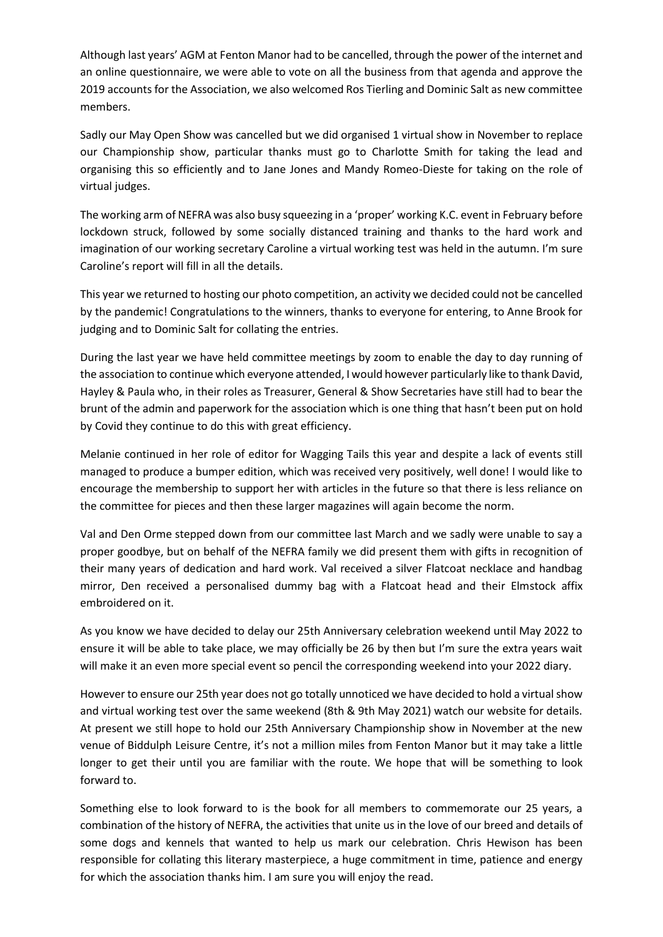Although last years' AGM at Fenton Manor had to be cancelled, through the power of the internet and an online questionnaire, we were able to vote on all the business from that agenda and approve the 2019 accounts for the Association, we also welcomed Ros Tierling and Dominic Salt as new committee members.

Sadly our May Open Show was cancelled but we did organised 1 virtual show in November to replace our Championship show, particular thanks must go to Charlotte Smith for taking the lead and organising this so efficiently and to Jane Jones and Mandy Romeo-Dieste for taking on the role of virtual judges.

The working arm of NEFRA was also busy squeezing in a 'proper' working K.C. event in February before lockdown struck, followed by some socially distanced training and thanks to the hard work and imagination of our working secretary Caroline a virtual working test was held in the autumn. I'm sure Caroline's report will fill in all the details.

This year we returned to hosting our photo competition, an activity we decided could not be cancelled by the pandemic! Congratulations to the winners, thanks to everyone for entering, to Anne Brook for judging and to Dominic Salt for collating the entries.

During the last year we have held committee meetings by zoom to enable the day to day running of the association to continue which everyone attended, I would however particularly like to thank David, Hayley & Paula who, in their roles as Treasurer, General & Show Secretaries have still had to bear the brunt of the admin and paperwork for the association which is one thing that hasn't been put on hold by Covid they continue to do this with great efficiency.

Melanie continued in her role of editor for Wagging Tails this year and despite a lack of events still managed to produce a bumper edition, which was received very positively, well done! I would like to encourage the membership to support her with articles in the future so that there is less reliance on the committee for pieces and then these larger magazines will again become the norm.

Val and Den Orme stepped down from our committee last March and we sadly were unable to say a proper goodbye, but on behalf of the NEFRA family we did present them with gifts in recognition of their many years of dedication and hard work. Val received a silver Flatcoat necklace and handbag mirror, Den received a personalised dummy bag with a Flatcoat head and their Elmstock affix embroidered on it.

As you know we have decided to delay our 25th Anniversary celebration weekend until May 2022 to ensure it will be able to take place, we may officially be 26 by then but I'm sure the extra years wait will make it an even more special event so pencil the corresponding weekend into your 2022 diary.

However to ensure our 25th year does not go totally unnoticed we have decided to hold a virtual show and virtual working test over the same weekend (8th & 9th May 2021) watch our website for details. At present we still hope to hold our 25th Anniversary Championship show in November at the new venue of Biddulph Leisure Centre, it's not a million miles from Fenton Manor but it may take a little longer to get their until you are familiar with the route. We hope that will be something to look forward to.

Something else to look forward to is the book for all members to commemorate our 25 years, a combination of the history of NEFRA, the activities that unite us in the love of our breed and details of some dogs and kennels that wanted to help us mark our celebration. Chris Hewison has been responsible for collating this literary masterpiece, a huge commitment in time, patience and energy for which the association thanks him. I am sure you will enjoy the read.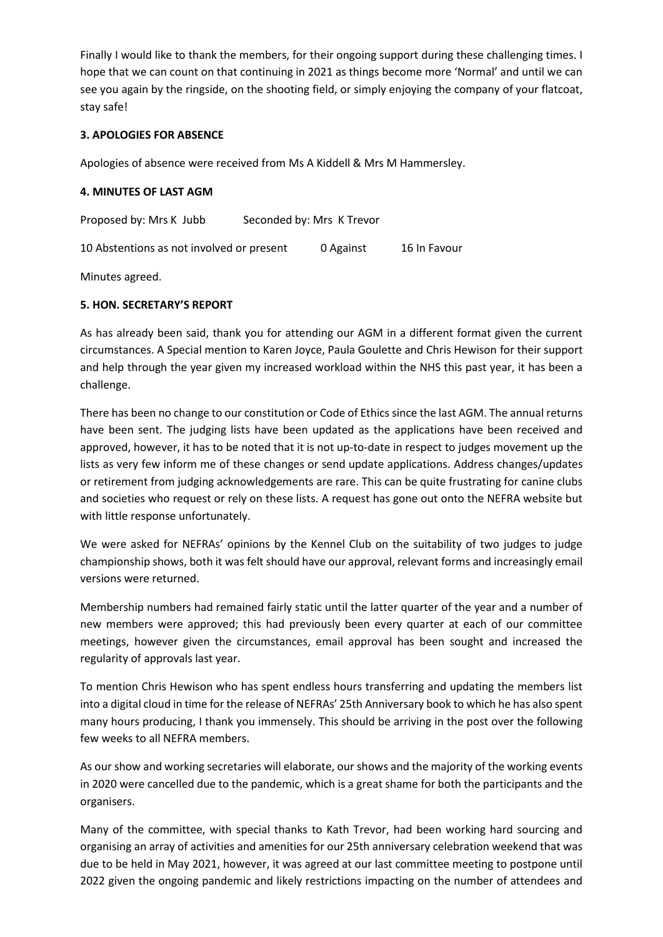Finally I would like to thank the members, for their ongoing support during these challenging times. I hope that we can count on that continuing in 2021 as things become more 'Normal' and until we can see you again by the ringside, on the shooting field, or simply enjoying the company of your flatcoat, stay safe!

# **3. APOLOGIES FOR ABSENCE**

Apologies of absence were received from Ms A Kiddell & Mrs M Hammersley.

### **4. MINUTES OF LAST AGM**

Proposed by: Mrs K Jubb Seconded by: Mrs K Trevor

10 Abstentions as not involved or present 0 Against 16 In Favour

Minutes agreed.

### **5. HON. SECRETARY'S REPORT**

As has already been said, thank you for attending our AGM in a different format given the current circumstances. A Special mention to Karen Joyce, Paula Goulette and Chris Hewison for their support and help through the year given my increased workload within the NHS this past year, it has been a challenge.

There has been no change to our constitution or Code of Ethics since the last AGM. The annual returns have been sent. The judging lists have been updated as the applications have been received and approved, however, it has to be noted that it is not up-to-date in respect to judges movement up the lists as very few inform me of these changes or send update applications. Address changes/updates or retirement from judging acknowledgements are rare. This can be quite frustrating for canine clubs and societies who request or rely on these lists. A request has gone out onto the NEFRA website but with little response unfortunately.

We were asked for NEFRAs' opinions by the Kennel Club on the suitability of two judges to judge championship shows, both it was felt should have our approval, relevant forms and increasingly email versions were returned.

Membership numbers had remained fairly static until the latter quarter of the year and a number of new members were approved; this had previously been every quarter at each of our committee meetings, however given the circumstances, email approval has been sought and increased the regularity of approvals last year.

To mention Chris Hewison who has spent endless hours transferring and updating the members list into a digital cloud in time for the release of NEFRAs' 25th Anniversary book to which he has also spent many hours producing, I thank you immensely. This should be arriving in the post over the following few weeks to all NEFRA members.

As our show and working secretaries will elaborate, our shows and the majority of the working events in 2020 were cancelled due to the pandemic, which is a great shame for both the participants and the organisers.

Many of the committee, with special thanks to Kath Trevor, had been working hard sourcing and organising an array of activities and amenities for our 25th anniversary celebration weekend that was due to be held in May 2021, however, it was agreed at our last committee meeting to postpone until 2022 given the ongoing pandemic and likely restrictions impacting on the number of attendees and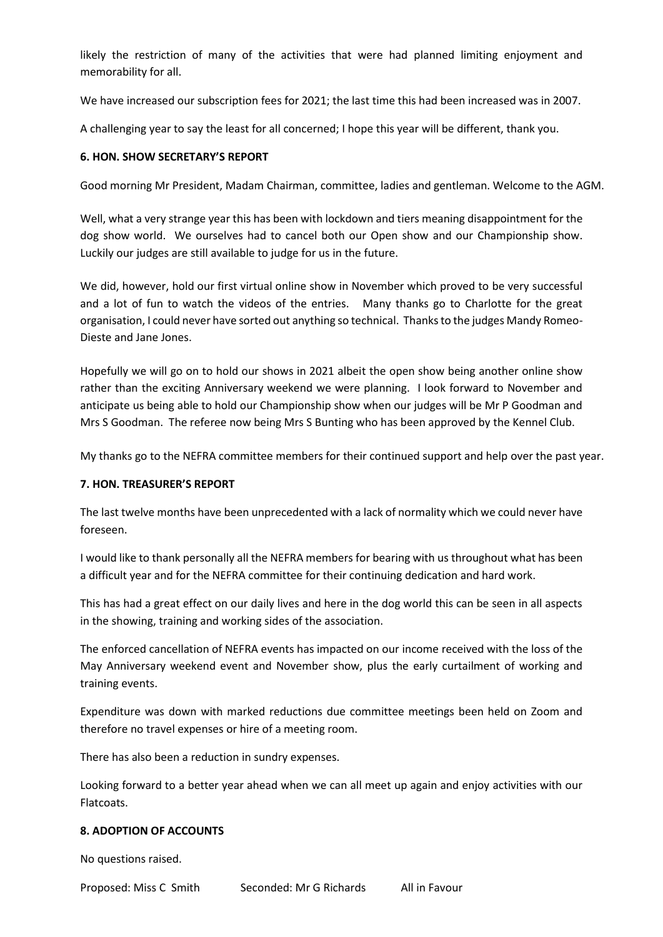likely the restriction of many of the activities that were had planned limiting enjoyment and memorability for all.

We have increased our subscription fees for 2021; the last time this had been increased was in 2007.

A challenging year to say the least for all concerned; I hope this year will be different, thank you.

## **6. HON. SHOW SECRETARY'S REPORT**

Good morning Mr President, Madam Chairman, committee, ladies and gentleman. Welcome to the AGM.

Well, what a very strange year this has been with lockdown and tiers meaning disappointment for the dog show world. We ourselves had to cancel both our Open show and our Championship show. Luckily our judges are still available to judge for us in the future.

We did, however, hold our first virtual online show in November which proved to be very successful and a lot of fun to watch the videos of the entries. Many thanks go to Charlotte for the great organisation, I could never have sorted out anything so technical. Thanks to the judges Mandy Romeo-Dieste and Jane Jones.

Hopefully we will go on to hold our shows in 2021 albeit the open show being another online show rather than the exciting Anniversary weekend we were planning. I look forward to November and anticipate us being able to hold our Championship show when our judges will be Mr P Goodman and Mrs S Goodman. The referee now being Mrs S Bunting who has been approved by the Kennel Club.

My thanks go to the NEFRA committee members for their continued support and help over the past year.

### **7. HON. TREASURER'S REPORT**

The last twelve months have been unprecedented with a lack of normality which we could never have foreseen.

I would like to thank personally all the NEFRA members for bearing with us throughout what has been a difficult year and for the NEFRA committee for their continuing dedication and hard work.

This has had a great effect on our daily lives and here in the dog world this can be seen in all aspects in the showing, training and working sides of the association.

The enforced cancellation of NEFRA events has impacted on our income received with the loss of the May Anniversary weekend event and November show, plus the early curtailment of working and training events.

Expenditure was down with marked reductions due committee meetings been held on Zoom and therefore no travel expenses or hire of a meeting room.

There has also been a reduction in sundry expenses.

Looking forward to a better year ahead when we can all meet up again and enjoy activities with our Flatcoats.

### **8. ADOPTION OF ACCOUNTS**

No questions raised.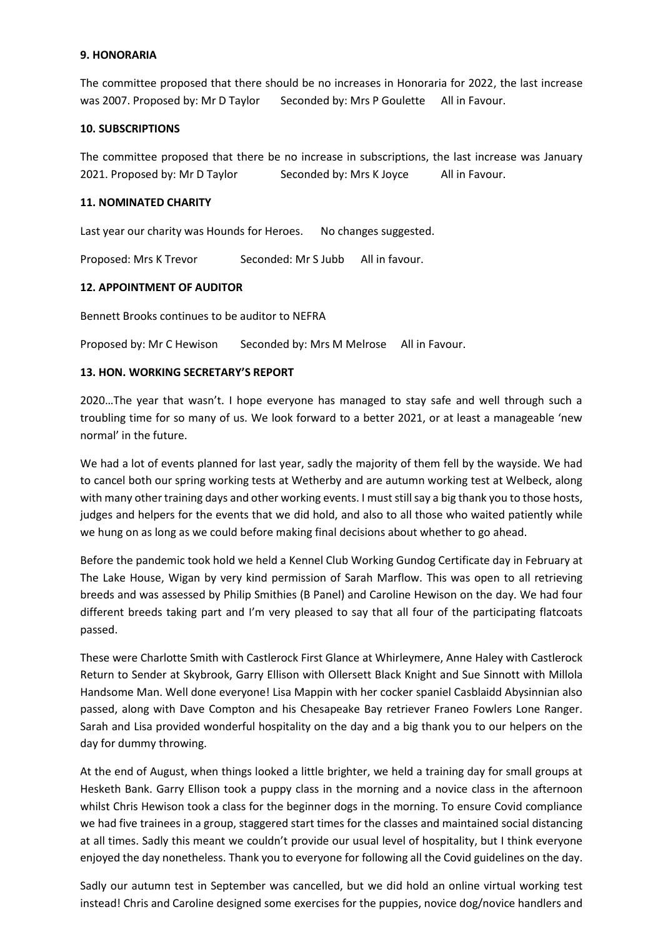### **9. HONORARIA**

The committee proposed that there should be no increases in Honoraria for 2022, the last increase was 2007. Proposed by: Mr D Taylor Seconded by: Mrs P Goulette All in Favour.

## **10. SUBSCRIPTIONS**

The committee proposed that there be no increase in subscriptions, the last increase was January 2021. Proposed by: Mr D Taylor Seconded by: Mrs K Joyce All in Favour.

## **11. NOMINATED CHARITY**

Last year our charity was Hounds for Heroes. No changes suggested.

Proposed: Mrs K Trevor Seconded: Mr S Jubb All in favour.

## **12. APPOINTMENT OF AUDITOR**

Bennett Brooks continues to be auditor to NEFRA

Proposed by: Mr C Hewison Seconded by: Mrs M Melrose All in Favour.

## **13. HON. WORKING SECRETARY'S REPORT**

2020…The year that wasn't. I hope everyone has managed to stay safe and well through such a troubling time for so many of us. We look forward to a better 2021, or at least a manageable 'new normal' in the future.

We had a lot of events planned for last year, sadly the majority of them fell by the wayside. We had to cancel both our spring working tests at Wetherby and are autumn working test at Welbeck, along with many other training days and other working events. I must still say a big thank you to those hosts, judges and helpers for the events that we did hold, and also to all those who waited patiently while we hung on as long as we could before making final decisions about whether to go ahead.

Before the pandemic took hold we held a Kennel Club Working Gundog Certificate day in February at The Lake House, Wigan by very kind permission of Sarah Marflow. This was open to all retrieving breeds and was assessed by Philip Smithies (B Panel) and Caroline Hewison on the day. We had four different breeds taking part and I'm very pleased to say that all four of the participating flatcoats passed.

These were Charlotte Smith with Castlerock First Glance at Whirleymere, Anne Haley with Castlerock Return to Sender at Skybrook, Garry Ellison with Ollersett Black Knight and Sue Sinnott with Millola Handsome Man. Well done everyone! Lisa Mappin with her cocker spaniel Casblaidd Abysinnian also passed, along with Dave Compton and his Chesapeake Bay retriever Franeo Fowlers Lone Ranger. Sarah and Lisa provided wonderful hospitality on the day and a big thank you to our helpers on the day for dummy throwing.

At the end of August, when things looked a little brighter, we held a training day for small groups at Hesketh Bank. Garry Ellison took a puppy class in the morning and a novice class in the afternoon whilst Chris Hewison took a class for the beginner dogs in the morning. To ensure Covid compliance we had five trainees in a group, staggered start times for the classes and maintained social distancing at all times. Sadly this meant we couldn't provide our usual level of hospitality, but I think everyone enjoyed the day nonetheless. Thank you to everyone for following all the Covid guidelines on the day.

Sadly our autumn test in September was cancelled, but we did hold an online virtual working test instead! Chris and Caroline designed some exercises for the puppies, novice dog/novice handlers and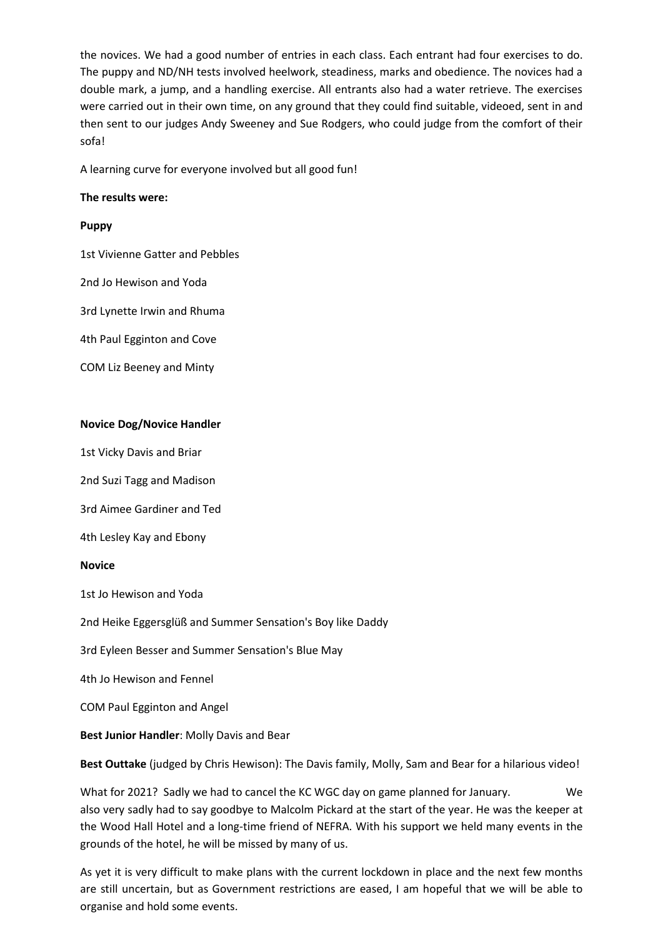the novices. We had a good number of entries in each class. Each entrant had four exercises to do. The puppy and ND/NH tests involved heelwork, steadiness, marks and obedience. The novices had a double mark, a jump, and a handling exercise. All entrants also had a water retrieve. The exercises were carried out in their own time, on any ground that they could find suitable, videoed, sent in and then sent to our judges Andy Sweeney and Sue Rodgers, who could judge from the comfort of their sofa!

A learning curve for everyone involved but all good fun!

#### **The results were:**

#### **Puppy**

1st Vivienne Gatter and Pebbles

2nd Jo Hewison and Yoda

3rd Lynette Irwin and Rhuma

4th Paul Egginton and Cove

COM Liz Beeney and Minty

#### **Novice Dog/Novice Handler**

1st Vicky Davis and Briar

2nd Suzi Tagg and Madison

3rd Aimee Gardiner and Ted

4th Lesley Kay and Ebony

#### **Novice**

1st Jo Hewison and Yoda

2nd Heike Eggersglüß and Summer Sensation's Boy like Daddy

3rd Eyleen Besser and Summer Sensation's Blue May

4th Jo Hewison and Fennel

COM Paul Egginton and Angel

#### **Best Junior Handler**: Molly Davis and Bear

**Best Outtake** (judged by Chris Hewison): The Davis family, Molly, Sam and Bear for a hilarious video!

What for 2021? Sadly we had to cancel the KC WGC day on game planned for January. We also very sadly had to say goodbye to Malcolm Pickard at the start of the year. He was the keeper at the Wood Hall Hotel and a long-time friend of NEFRA. With his support we held many events in the grounds of the hotel, he will be missed by many of us.

As yet it is very difficult to make plans with the current lockdown in place and the next few months are still uncertain, but as Government restrictions are eased, I am hopeful that we will be able to organise and hold some events.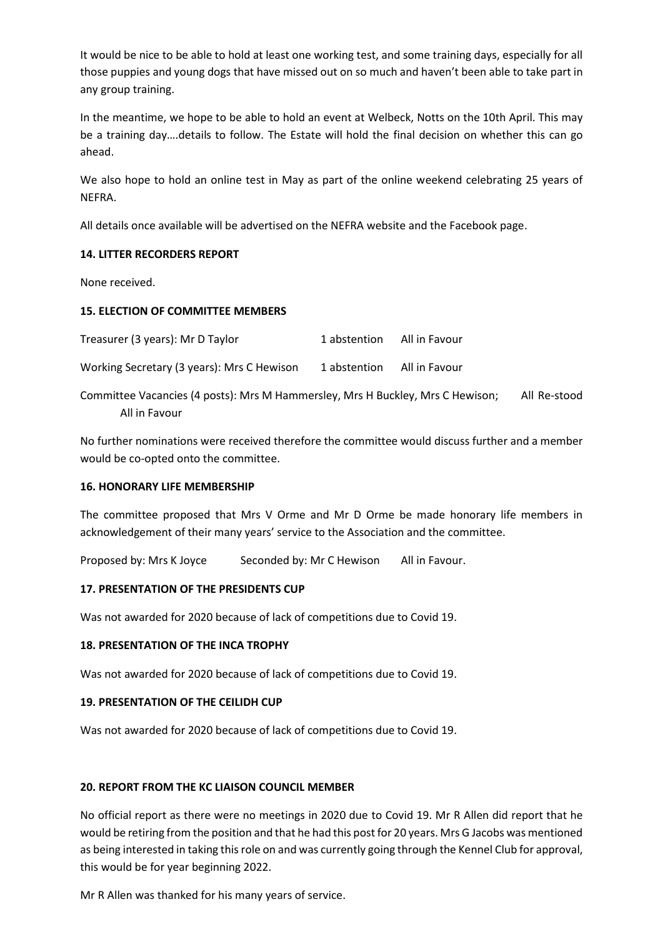It would be nice to be able to hold at least one working test, and some training days, especially for all those puppies and young dogs that have missed out on so much and haven't been able to take part in any group training.

In the meantime, we hope to be able to hold an event at Welbeck, Notts on the 10th April. This may be a training day….details to follow. The Estate will hold the final decision on whether this can go ahead.

We also hope to hold an online test in May as part of the online weekend celebrating 25 years of NEFRA.

All details once available will be advertised on the NEFRA website and the Facebook page.

## **14. LITTER RECORDERS REPORT**

None received.

## **15. ELECTION OF COMMITTEE MEMBERS**

| Treasurer (3 years): Mr D Taylor           | 1 abstention | All in Favour |
|--------------------------------------------|--------------|---------------|
| Working Secretary (3 years): Mrs C Hewison | 1 abstention | All in Favour |

Committee Vacancies (4 posts): Mrs M Hammersley, Mrs H Buckley, Mrs C Hewison; All Re-stood All in Favour

No further nominations were received therefore the committee would discuss further and a member would be co-opted onto the committee.

### **16. HONORARY LIFE MEMBERSHIP**

The committee proposed that Mrs V Orme and Mr D Orme be made honorary life members in acknowledgement of their many years' service to the Association and the committee.

Proposed by: Mrs K Joyce Seconded by: Mr C Hewison All in Favour.

### **17. PRESENTATION OF THE PRESIDENTS CUP**

Was not awarded for 2020 because of lack of competitions due to Covid 19.

# **18. PRESENTATION OF THE INCA TROPHY**

Was not awarded for 2020 because of lack of competitions due to Covid 19.

# **19. PRESENTATION OF THE CEILIDH CUP**

Was not awarded for 2020 because of lack of competitions due to Covid 19.

### **20. REPORT FROM THE KC LIAISON COUNCIL MEMBER**

No official report as there were no meetings in 2020 due to Covid 19. Mr R Allen did report that he would be retiring from the position and that he had this post for 20 years. Mrs G Jacobs was mentioned as being interested in taking this role on and was currently going through the Kennel Club for approval, this would be for year beginning 2022.

Mr R Allen was thanked for his many years of service.